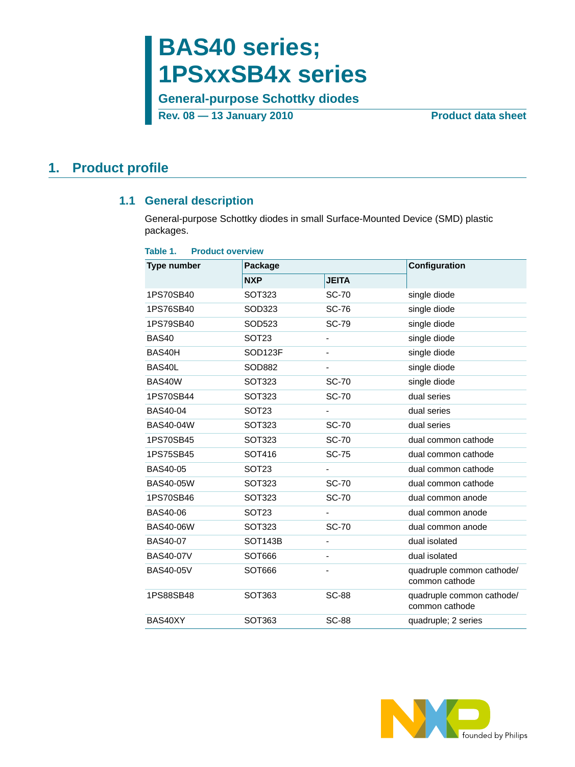# **BAS40 series; 1PSxxSB4x series**

**General-purpose Schottky diodes Rev. 08 — 13 January 2010** Product data sheet

## <span id="page-0-1"></span><span id="page-0-0"></span>**1. Product profile**

### **1.1 General description**

General-purpose Schottky diodes in small Surface-Mounted Device (SMD) plastic packages.

| <b>Product overview</b><br>Table 1. |                      |                          |                                             |  |  |  |
|-------------------------------------|----------------------|--------------------------|---------------------------------------------|--|--|--|
| <b>Type number</b>                  | Package              |                          | Configuration                               |  |  |  |
|                                     | <b>NXP</b>           | <b>JEITA</b>             |                                             |  |  |  |
| 1PS70SB40                           | SOT323               | <b>SC-70</b>             | single diode                                |  |  |  |
| 1PS76SB40                           | SOD323               | <b>SC-76</b>             | single diode                                |  |  |  |
| 1PS79SB40                           | SOD523               | <b>SC-79</b>             | single diode                                |  |  |  |
| BAS40                               | SOT <sub>23</sub>    | $\overline{\phantom{m}}$ | single diode                                |  |  |  |
| BAS40H                              | SOD <sub>123F</sub>  |                          | single diode                                |  |  |  |
| BAS40L                              | SOD882               |                          | single diode                                |  |  |  |
| BAS40W                              | SOT323               | <b>SC-70</b>             | single diode                                |  |  |  |
| 1PS70SB44                           | SOT323               | <b>SC-70</b>             | dual series                                 |  |  |  |
| <b>BAS40-04</b>                     | SOT <sub>23</sub>    |                          | dual series                                 |  |  |  |
| <b>BAS40-04W</b>                    | SOT323               | <b>SC-70</b>             | dual series                                 |  |  |  |
| 1PS70SB45                           | SOT323               | <b>SC-70</b>             | dual common cathode                         |  |  |  |
| 1PS75SB45                           | SOT416               | <b>SC-75</b>             | dual common cathode                         |  |  |  |
| <b>BAS40-05</b>                     | SOT <sub>23</sub>    |                          | dual common cathode                         |  |  |  |
| BAS40-05W                           | SOT323               | <b>SC-70</b>             | dual common cathode                         |  |  |  |
| 1PS70SB46                           | SOT323               | <b>SC-70</b>             | dual common anode                           |  |  |  |
| <b>BAS40-06</b>                     | SOT <sub>23</sub>    |                          | dual common anode                           |  |  |  |
| <b>BAS40-06W</b>                    | SOT323               | <b>SC-70</b>             | dual common anode                           |  |  |  |
| <b>BAS40-07</b>                     | SOT <sub>143</sub> B |                          | dual isolated                               |  |  |  |
| <b>BAS40-07V</b>                    | SOT666               |                          | dual isolated                               |  |  |  |
| <b>BAS40-05V</b>                    | SOT666               |                          | quadruple common cathode/<br>common cathode |  |  |  |
| 1PS88SB48                           | SOT363               | <b>SC-88</b>             | quadruple common cathode/<br>common cathode |  |  |  |
| BAS40XY                             | SOT363               | <b>SC-88</b>             | quadruple; 2 series                         |  |  |  |

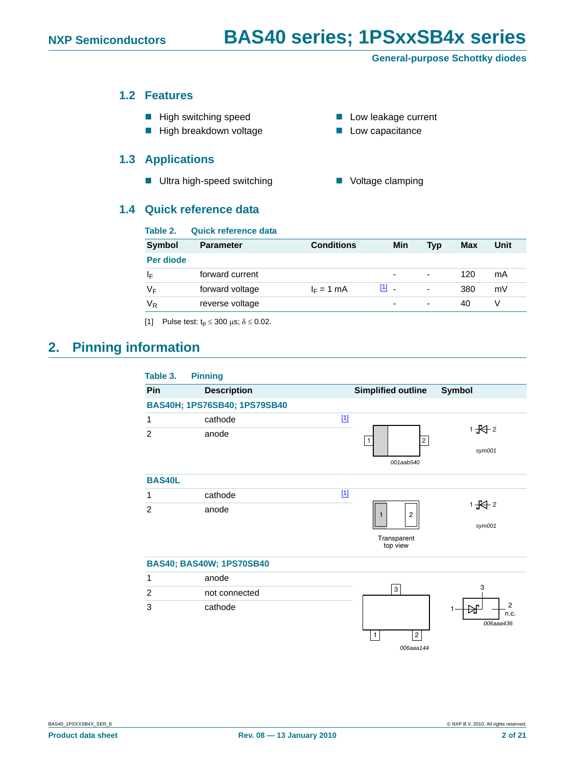#### <span id="page-1-1"></span>**1.2 Features**

- $\blacksquare$  High switching speed
- High breakdown voltage **EXEC EXECUTE:** Low capacitance

### <span id="page-1-2"></span>**1.3 Applications**

■ Ultra high-speed switching ■ Voltage clamping

#### <span id="page-1-3"></span>**1.4 Quick reference data**

|  | <b>Low leakage current</b> |  |
|--|----------------------------|--|
|  |                            |  |

- 
- 

| Table 2.      | Quick reference data |                   |                         |            |            |      |
|---------------|----------------------|-------------------|-------------------------|------------|------------|------|
| <b>Symbol</b> | <b>Parameter</b>     | <b>Conditions</b> | Min                     | <b>Typ</b> | <b>Max</b> | Unit |
| Per diode     |                      |                   |                         |            |            |      |
| ΙF            | forward current      |                   | ۰                       | ٠          | 120        | mA   |
| $V_F$         | forward voltage      | $I_F = 1$ mA      | $\boxed{1}$ $\boxed{1}$ | ٠          | 380        | mV   |
| $V_R$         | reverse voltage      |                   | ۰                       | ۰          | 40         |      |
|               |                      |                   |                         |            |            |      |

<span id="page-1-0"></span>[1] Pulse test:  $t_p \le 300 \mu s$ ;  $\delta \le 0.02$ .

## <span id="page-1-4"></span>**2. Pinning information**

| Table 3.       | <b>Pinning</b>                  |                                            |
|----------------|---------------------------------|--------------------------------------------|
| Pin            | <b>Description</b>              | <b>Symbol</b><br><b>Simplified outline</b> |
|                | BAS40H; 1PS76SB40; 1PS79SB40    |                                            |
| 1              | cathode                         | $[1]$                                      |
| $\overline{2}$ | anode                           | $1 + 2$<br>$\overline{c}$                  |
|                |                                 | sym001                                     |
|                |                                 | 001aab540                                  |
| <b>BAS40L</b>  |                                 |                                            |
| 1              | cathode                         | $[1]$                                      |
| $\overline{2}$ | anode                           | $1 + 2$<br>$\overline{c}$                  |
|                |                                 | sym001                                     |
|                |                                 | Transparent                                |
|                |                                 | top view                                   |
|                | <b>BAS40; BAS40W; 1PS70SB40</b> |                                            |
| 1              | anode                           |                                            |
| $\overline{2}$ | not connected                   | 3<br>3                                     |
| 3              | cathode                         | $\overline{2}$<br>1                        |
|                |                                 | n.c.<br>006aaa436                          |
|                |                                 | $\sqrt{2}$<br>1                            |
|                |                                 | 006aaa144                                  |

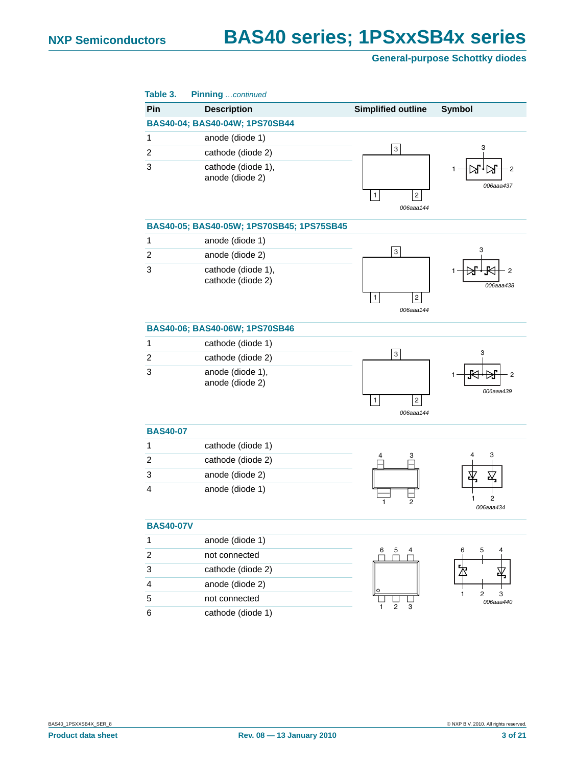| Table 3.         | <b>Pinning</b> continued                  |                                             |                          |
|------------------|-------------------------------------------|---------------------------------------------|--------------------------|
| Pin              | <b>Description</b>                        | <b>Simplified outline</b>                   | <b>Symbol</b>            |
|                  | BAS40-04; BAS40-04W; 1PS70SB44            |                                             |                          |
| 1                | anode (diode 1)                           |                                             |                          |
| 2                | cathode (diode 2)                         | 3                                           | 3                        |
| 3                | cathode (diode 1),<br>anode (diode 2)     | $\overline{\mathbf{c}}$<br>1<br>006aaa144   | 006aaa437                |
|                  | BAS40-05; BAS40-05W; 1PS70SB45; 1PS75SB45 |                                             |                          |
| $\mathbf{1}$     | anode (diode 1)                           |                                             |                          |
| 2                | anode (diode 2)                           | 3                                           | З                        |
| 3                | cathode (diode 1),<br>cathode (diode 2)   | $\mathbf{1}$<br>$\overline{c}$<br>006aaa144 | 2<br>006aaa438           |
|                  | BAS40-06; BAS40-06W; 1PS70SB46            |                                             |                          |
| 1                | cathode (diode 1)                         |                                             |                          |
| $\overline{2}$   | cathode (diode 2)                         | 3                                           | 3                        |
| 3                | anode (diode 1),<br>anode (diode 2)       | $\mathbf{1}$<br>$\sqrt{2}$<br>006aaa144     | 2<br>006aaa439           |
| <b>BAS40-07</b>  |                                           |                                             |                          |
| 1                | cathode (diode 1)                         |                                             |                          |
| 2                | cathode (diode 2)                         | 3<br>4                                      | 4<br>3                   |
| 3                | anode (diode 2)                           |                                             | 平<br>Æ                   |
| 4                | anode (diode 1)                           | 2<br>1                                      | 2<br>1<br>006aaa434      |
| <b>BAS40-07V</b> |                                           |                                             |                          |
| 1                | anode (diode 1)                           |                                             |                          |
| $\overline{c}$   | not connected                             | 5<br>6<br>4                                 | 5<br>6<br>4              |
| 3                | cathode (diode 2)                         |                                             | 々                        |
| 4                | anode (diode 2)                           | O                                           |                          |
| 5                | not connected                             |                                             | 2<br>1<br>3<br>006aaa440 |
| 6                | cathode (diode 1)                         | 2<br>3<br>1                                 |                          |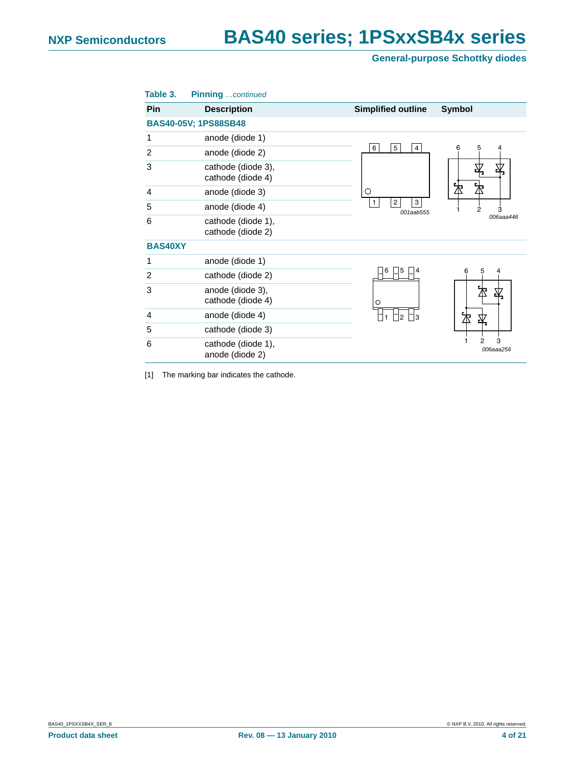| Table 3.       | <b>Pinning</b> continued                |                                  |                     |
|----------------|-----------------------------------------|----------------------------------|---------------------|
| Pin            | <b>Description</b>                      | <b>Simplified outline</b>        | <b>Symbol</b>       |
|                | <b>BAS40-05V; 1PS88SB48</b>             |                                  |                     |
| 1              | anode (diode 1)                         |                                  |                     |
| $\overline{2}$ | anode (diode 2)                         | 5<br>6<br>$\overline{4}$         | 5<br>4<br>6         |
| 3              | cathode (diode 3),<br>cathode (diode 4) |                                  | 平                   |
| 4              | anode (diode 3)                         | O                                | ∆                   |
| 5              | anode (diode 4)                         | 3<br>$\overline{c}$<br>001aab555 | $\overline{2}$<br>3 |
| 6              | cathode (diode 1),<br>cathode (diode 2) |                                  | 006aaa446           |
| <b>BAS40XY</b> |                                         |                                  |                     |
| 1              | anode (diode 1)                         |                                  |                     |
| $\overline{2}$ | cathode (diode 2)                       | 6<br>5                           | 5<br>6<br>4         |
| 3              | anode (diode 3),<br>cathode (diode 4)   | $\circ$                          | 为<br>孓              |
| $\overline{4}$ | anode (diode 4)                         | 3<br>$\overline{2}$              | 卒                   |
| 5              | cathode (diode 3)                       |                                  |                     |
| 6              | cathode (diode 1),<br>anode (diode 2)   |                                  | 3<br>2<br>006aaa256 |

<span id="page-3-0"></span>[1] The marking bar indicates the cathode.

BAS40\_1PSXXSB4X\_SER\_8 © NXP B.V. 2010. All rights reserved.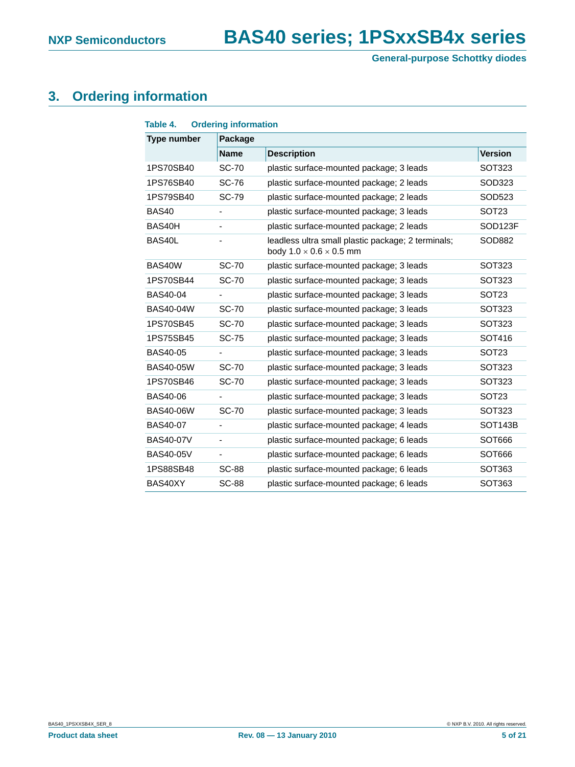## <span id="page-4-0"></span>**3. Ordering information**

| Table 4.           | <b>Ordering information</b> |                                                                                           |                      |
|--------------------|-----------------------------|-------------------------------------------------------------------------------------------|----------------------|
| <b>Type number</b> | Package                     |                                                                                           |                      |
|                    | <b>Name</b>                 | <b>Description</b>                                                                        | <b>Version</b>       |
| 1PS70SB40          | <b>SC-70</b>                | plastic surface-mounted package; 3 leads                                                  | SOT323               |
| 1PS76SB40          | <b>SC-76</b>                | plastic surface-mounted package; 2 leads                                                  | SOD323               |
| 1PS79SB40          | <b>SC-79</b>                | plastic surface-mounted package; 2 leads                                                  | SOD523               |
| BAS40              |                             | plastic surface-mounted package; 3 leads                                                  | SOT <sub>23</sub>    |
| BAS40H             | $\overline{\phantom{a}}$    | plastic surface-mounted package; 2 leads                                                  | SOD <sub>123F</sub>  |
| BAS40L             |                             | leadless ultra small plastic package; 2 terminals;<br>body $1.0 \times 0.6 \times 0.5$ mm | SOD882               |
| BAS40W             | <b>SC-70</b>                | plastic surface-mounted package; 3 leads                                                  | SOT323               |
| 1PS70SB44          | <b>SC-70</b>                | plastic surface-mounted package; 3 leads                                                  | SOT323               |
| <b>BAS40-04</b>    |                             | plastic surface-mounted package; 3 leads                                                  | SOT <sub>23</sub>    |
| BAS40-04W          | <b>SC-70</b>                | plastic surface-mounted package; 3 leads                                                  | SOT323               |
| 1PS70SB45          | <b>SC-70</b>                | plastic surface-mounted package; 3 leads                                                  | SOT323               |
| 1PS75SB45          | <b>SC-75</b>                | plastic surface-mounted package; 3 leads                                                  | SOT416               |
| BAS40-05           |                             | plastic surface-mounted package; 3 leads                                                  | SOT <sub>23</sub>    |
| <b>BAS40-05W</b>   | <b>SC-70</b>                | plastic surface-mounted package; 3 leads                                                  | SOT323               |
| 1PS70SB46          | <b>SC-70</b>                | plastic surface-mounted package; 3 leads                                                  | SOT323               |
| BAS40-06           |                             | plastic surface-mounted package; 3 leads                                                  | SOT <sub>23</sub>    |
| <b>BAS40-06W</b>   | <b>SC-70</b>                | plastic surface-mounted package; 3 leads                                                  | SOT323               |
| <b>BAS40-07</b>    |                             | plastic surface-mounted package; 4 leads                                                  | SOT <sub>143</sub> B |
| <b>BAS40-07V</b>   | $\blacksquare$              | plastic surface-mounted package; 6 leads                                                  | SOT666               |
| <b>BAS40-05V</b>   |                             | plastic surface-mounted package; 6 leads                                                  | SOT666               |
| 1PS88SB48          | <b>SC-88</b>                | plastic surface-mounted package; 6 leads                                                  | SOT363               |
| BAS40XY            | <b>SC-88</b>                | plastic surface-mounted package; 6 leads                                                  | SOT363               |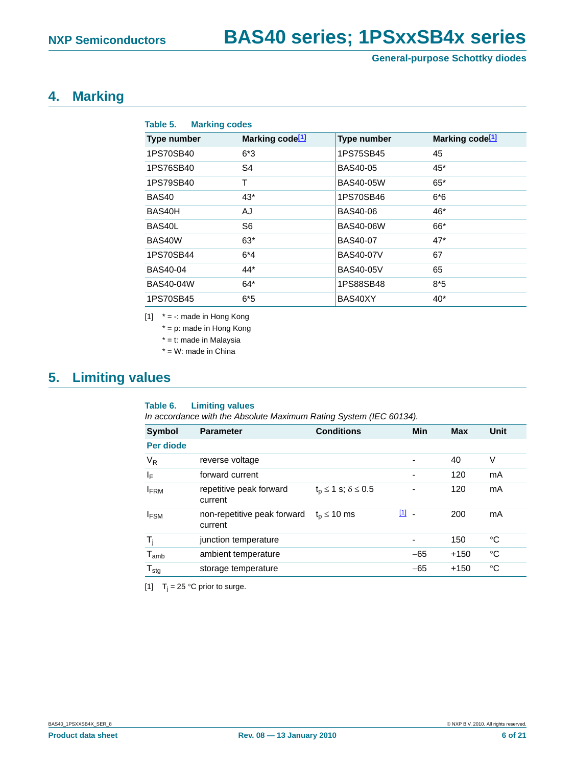## <span id="page-5-2"></span>**4. Marking**

| Table 5.<br><b>Marking codes</b> |                             |                    |                             |
|----------------------------------|-----------------------------|--------------------|-----------------------------|
| <b>Type number</b>               | Marking code <sup>[1]</sup> | <b>Type number</b> | Marking code <sup>[1]</sup> |
| 1PS70SB40                        | $6*3$                       | 1PS75SB45          | 45                          |
| 1PS76SB40                        | S4                          | <b>BAS40-05</b>    | $45*$                       |
| 1PS79SB40                        | T                           | <b>BAS40-05W</b>   | $65*$                       |
| BAS40                            | $43*$                       | 1PS70SB46          | $6*6$                       |
| BAS40H                           | AJ                          | <b>BAS40-06</b>    | $46*$                       |
| BAS40L                           | S6                          | <b>BAS40-06W</b>   | $66*$                       |
| BAS40W                           | $63*$                       | <b>BAS40-07</b>    | $47*$                       |
| 1PS70SB44                        | $6*4$                       | <b>BAS40-07V</b>   | 67                          |
| BAS40-04                         | 44*                         | <b>BAS40-05V</b>   | 65                          |
| <b>BAS40-04W</b>                 | $64*$                       | 1PS88SB48          | $8*5$                       |
| 1PS70SB45                        | $6*5$                       | BAS40XY            | $40^*$                      |

<span id="page-5-0"></span> $[1]$  \* = -: made in Hong Kong

\* = p: made in Hong Kong

\* = t: made in Malaysia

\* = W: made in China

## <span id="page-5-3"></span>**5. Limiting values**

#### **Table 6. Limiting values**

*In accordance with the Absolute Maximum Rating System (IEC 60134).*

| <b>Symbol</b>    | <b>Parameter</b>                       | <b>Conditions</b>                 | Min                      | <b>Max</b> | Unit |
|------------------|----------------------------------------|-----------------------------------|--------------------------|------------|------|
| Per diode        |                                        |                                   |                          |            |      |
| $V_R$            | reverse voltage                        |                                   | $\overline{\phantom{a}}$ | 40         | V    |
| ΙF               | forward current                        |                                   |                          | 120        | mA   |
| <b>FRM</b>       | repetitive peak forward<br>current     | $t_0 \leq 1$ s; $\delta \leq 0.5$ |                          | 120        | mA   |
| <b>IFSM</b>      | non-repetitive peak forward<br>current | $t_n \leq 10$ ms                  | $\boxed{1}$<br>$\sim$    | 200        | mA   |
| T,               | junction temperature                   |                                   | $\overline{\phantom{a}}$ | 150        | °C   |
| $T_{amb}$        | ambient temperature                    |                                   | $-65$                    | $+150$     | °C   |
| $T_{\text{stg}}$ | storage temperature                    |                                   | $-65$                    | $+150$     | °C   |

<span id="page-5-1"></span>[1]  $T_i = 25$  °C prior to surge.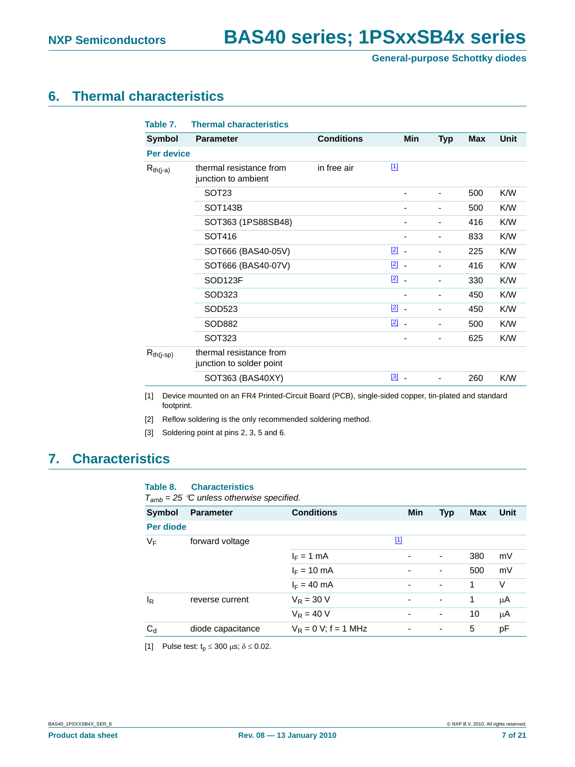## <span id="page-6-4"></span>**6. Thermal characteristics**

| Table 7.          | <b>Thermal characteristics</b>                      |                   |                                |            |            |             |
|-------------------|-----------------------------------------------------|-------------------|--------------------------------|------------|------------|-------------|
| <b>Symbol</b>     | <b>Parameter</b>                                    | <b>Conditions</b> | <b>Min</b>                     | <b>Typ</b> | <b>Max</b> | <b>Unit</b> |
| <b>Per device</b> |                                                     |                   |                                |            |            |             |
| $R_{th(j-a)}$     | thermal resistance from<br>junction to ambient      | in free air       | $\boxed{1}$                    |            |            |             |
|                   | SOT <sub>23</sub>                                   |                   |                                |            | 500        | K/W         |
|                   | SOT <sub>143</sub> B                                |                   |                                |            | 500        | K/W         |
|                   | SOT363 (1PS88SB48)                                  |                   | -                              |            | 416        | K/W         |
|                   | SOT416                                              |                   | -                              |            | 833        | K/W         |
|                   | SOT666 (BAS40-05V)                                  |                   | $\boxed{2}$ -                  |            | 225        | K/W         |
|                   | SOT666 (BAS40-07V)                                  |                   | $\boxed{2}$ -                  |            | 416        | K/W         |
|                   | SOD123F                                             |                   | $\boxed{2}$ -                  |            | 330        | K/W         |
|                   | SOD323                                              |                   |                                |            | 450        | K/W         |
|                   | SOD523                                              |                   | $[2]$ .                        |            | 450        | K/W         |
|                   | SOD882                                              |                   | $\boxed{2}$ -                  |            | 500        | K/W         |
|                   | <b>SOT323</b>                                       |                   |                                |            | 625        | K/W         |
| $R_{th(j-sp)}$    | thermal resistance from<br>junction to solder point |                   |                                |            |            |             |
|                   | SOT363 (BAS40XY)                                    |                   | $[3]$ $\overline{\phantom{a}}$ |            | 260        | K/W         |

<span id="page-6-0"></span>[1] Device mounted on an FR4 Printed-Circuit Board (PCB), single-sided copper, tin-plated and standard footprint.

<span id="page-6-1"></span>[2] Reflow soldering is the only recommended soldering method.

<span id="page-6-2"></span>[3] Soldering point at pins 2, 3, 5 and 6.

## <span id="page-6-5"></span>**7. Characteristics**

#### **Table 8. Characteristics**

*Tamb = 25* °*C unless otherwise specified.*

| <b>Symbol</b>  | <b>Parameter</b>  | <b>Conditions</b>       |                          | Min | <b>Typ</b>               | <b>Max</b> | Unit |
|----------------|-------------------|-------------------------|--------------------------|-----|--------------------------|------------|------|
| Per diode      |                   |                         |                          |     |                          |            |      |
| $V_F$          | forward voltage   |                         | $\boxed{1}$              |     |                          |            |      |
|                |                   | $I_F = 1$ mA            | $\overline{\phantom{0}}$ |     | ٠                        | 380        | mV   |
|                |                   | $I_F = 10 \text{ mA}$   | $\overline{\phantom{0}}$ |     | $\overline{\phantom{a}}$ | 500        | mV   |
|                |                   | $I_F = 40$ mA           | $\overline{\phantom{0}}$ |     | $\overline{\phantom{a}}$ | 1          | V    |
| l <sub>R</sub> | reverse current   | $V_R = 30 V$            | $\overline{\phantom{0}}$ |     | $\overline{\phantom{a}}$ | 1          | μA   |
|                |                   | $V_R = 40 V$            | $\overline{\phantom{0}}$ |     | ٠                        | 10         | μA   |
| $C_d$          | diode capacitance | $V_R = 0 V$ ; f = 1 MHz | ٠                        |     | ٠                        | 5          | pF   |
|                |                   |                         |                          |     |                          |            |      |

<span id="page-6-3"></span>[1] Pulse test:  $t_p \le 300 \mu s$ ;  $\delta \le 0.02$ .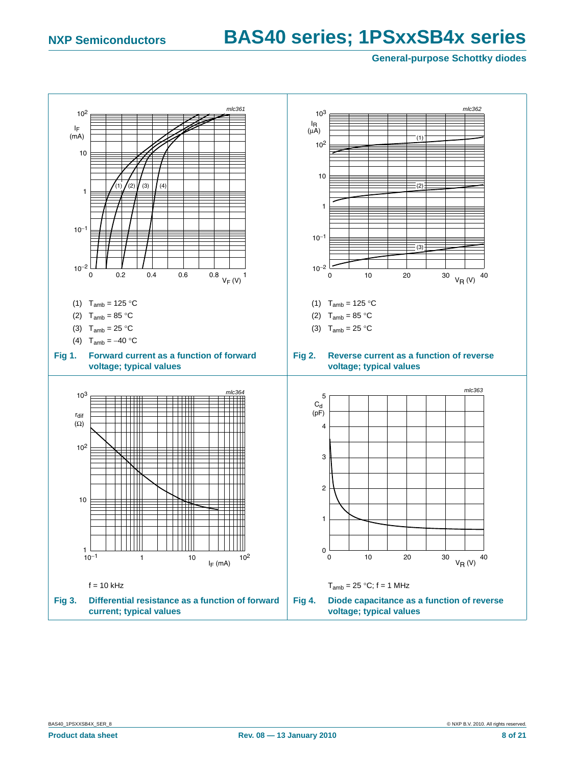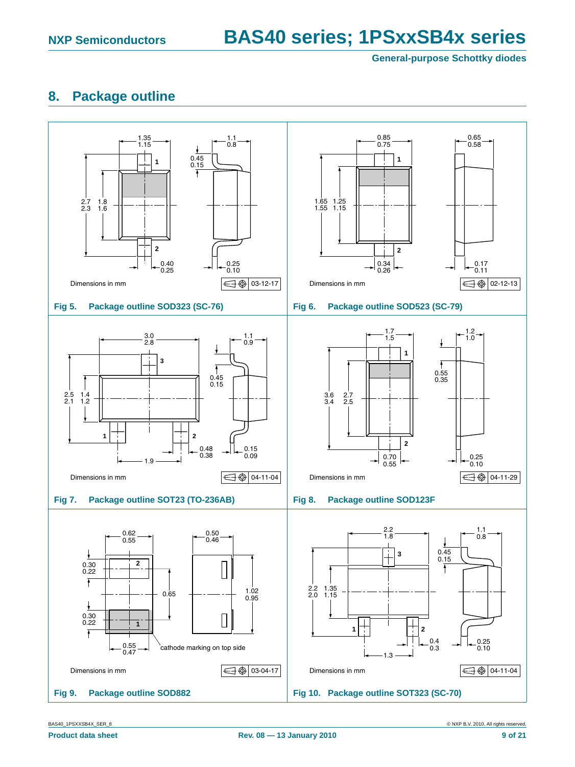## <span id="page-8-0"></span>**8. Package outline**



BAS40\_1PSXXSB4X\_SER\_8 © NXP B.V. 2010. All rights reserved.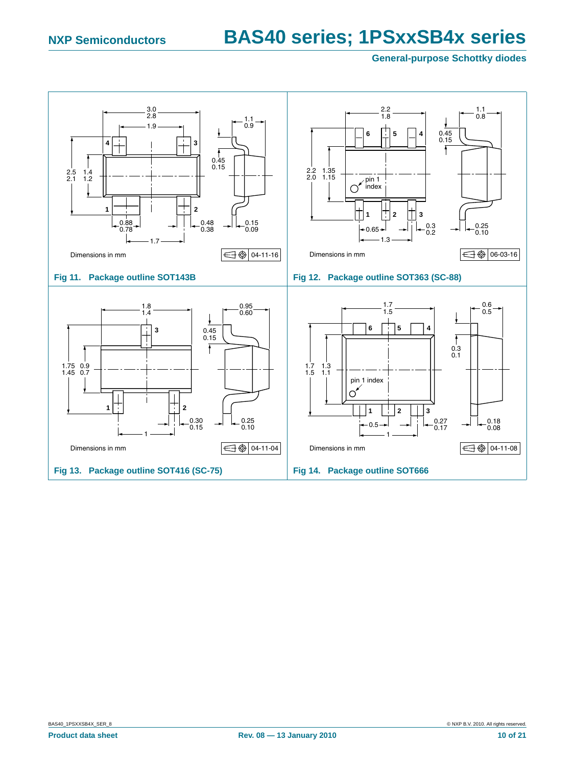<span id="page-9-0"></span>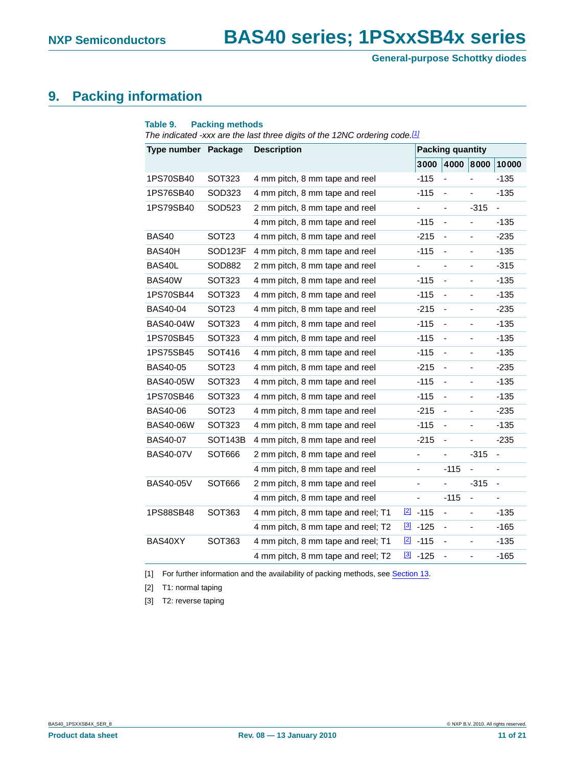## <span id="page-10-3"></span>**9. Packing information**

| Type number Package |                      | <b>Description</b>                 |             |            | <b>Packing quantity</b>      |                          |                          |
|---------------------|----------------------|------------------------------------|-------------|------------|------------------------------|--------------------------|--------------------------|
|                     |                      |                                    |             | 3000       | 4000                         | 8000                     | 10000                    |
| 1PS70SB40           | SOT323               | 4 mm pitch, 8 mm tape and reel     |             | $-115$     |                              |                          | $-135$                   |
| 1PS76SB40           | SOD323               | 4 mm pitch, 8 mm tape and reel     |             | -115       | $\qquad \qquad \blacksquare$ | $\overline{\phantom{0}}$ | -135                     |
| 1PS79SB40           | SOD523               | 2 mm pitch, 8 mm tape and reel     |             |            | ä,                           | $-315$                   | $\overline{a}$           |
|                     |                      | 4 mm pitch, 8 mm tape and reel     |             | $-115$     | $\overline{\phantom{a}}$     |                          | -135                     |
| <b>BAS40</b>        | SOT <sub>23</sub>    | 4 mm pitch, 8 mm tape and reel     |             | $-215$     | $\blacksquare$               | $\overline{\phantom{0}}$ | $-235$                   |
| BAS40H              | SOD123F              | 4 mm pitch, 8 mm tape and reel     |             | $-115$     | $\blacksquare$               | -                        | $-135$                   |
| BAS40L              | SOD882               | 2 mm pitch, 8 mm tape and reel     |             | -          | $\qquad \qquad \blacksquare$ | $\overline{\phantom{0}}$ | $-315$                   |
| BAS40W              | <b>SOT323</b>        | 4 mm pitch, 8 mm tape and reel     |             | $-115$     |                              |                          | -135                     |
| 1PS70SB44           | SOT323               | 4 mm pitch, 8 mm tape and reel     |             | -115       | $\overline{\phantom{a}}$     | $\overline{\phantom{a}}$ | $-135$                   |
| <b>BAS40-04</b>     | SOT <sub>23</sub>    | 4 mm pitch, 8 mm tape and reel     |             | -215       |                              |                          | -235                     |
| BAS40-04W           | SOT323               | 4 mm pitch, 8 mm tape and reel     |             | $-115$     | $\blacksquare$               | ÷,                       | $-135$                   |
| 1PS70SB45           | SOT323               | 4 mm pitch, 8 mm tape and reel     |             | -115       | $\blacksquare$               |                          | $-135$                   |
| 1PS75SB45           | SOT416               | 4 mm pitch, 8 mm tape and reel     |             | -115       | $\blacksquare$               | -                        | -135                     |
| <b>BAS40-05</b>     | SOT23                | 4 mm pitch, 8 mm tape and reel     |             | -215       | $\blacksquare$               | ÷,                       | $-235$                   |
| BAS40-05W           | SOT323               | 4 mm pitch, 8 mm tape and reel     |             | $-115$     | $\blacksquare$               | ٠                        | -135                     |
| 1PS70SB46           | SOT323               | 4 mm pitch, 8 mm tape and reel     |             | $-115$     | ä,                           | ä,                       | $-135$                   |
| BAS40-06            | SOT <sub>23</sub>    | 4 mm pitch, 8 mm tape and reel     |             | -215       | $\overline{\phantom{a}}$     | $\overline{\phantom{0}}$ | $-235$                   |
| BAS40-06W           | SOT323               | 4 mm pitch, 8 mm tape and reel     |             | $-115$     | $\blacksquare$               | $\overline{\phantom{0}}$ | $-135$                   |
| BAS40-07            | SOT <sub>143</sub> B | 4 mm pitch, 8 mm tape and reel     |             | -215       | $\overline{\phantom{a}}$     | $\overline{\phantom{0}}$ | -235                     |
| BAS40-07V           | SOT666               | 2 mm pitch, 8 mm tape and reel     |             | -          | ÷,                           | -315                     | $\overline{\phantom{a}}$ |
|                     |                      | 4 mm pitch, 8 mm tape and reel     |             |            | $-115$                       |                          |                          |
| <b>BAS40-05V</b>    | SOT666               | 2 mm pitch, 8 mm tape and reel     |             | ÷,         | ä,                           | $-315$                   | $\blacksquare$           |
|                     |                      | 4 mm pitch, 8 mm tape and reel     |             |            | $-115$                       | $\overline{\phantom{0}}$ |                          |
| 1PS88SB48           | SOT363               | 4 mm pitch, 8 mm tape and reel; T1 | [2]         | $-115$     | $\blacksquare$               | $\blacksquare$           | -135                     |
|                     |                      | 4 mm pitch, 8 mm tape and reel; T2 | $\boxed{3}$ | $-125$     | $\blacksquare$               | ÷,                       | $-165$                   |
| BAS40XY             | <b>SOT363</b>        | 4 mm pitch, 8 mm tape and reel; T1 |             | $[2] -115$ | $\blacksquare$               | -                        | -135                     |
|                     |                      | 4 mm pitch, 8 mm tape and reel; T2 | $[3]$       | $-125$     | ÷,                           | ÷,                       | $-165$                   |

<span id="page-10-0"></span>[1] For further information and the availability of packing methods, see [Section 13.](#page-19-0)

<span id="page-10-1"></span>[2] T1: normal taping

<span id="page-10-2"></span>[3] T2: reverse taping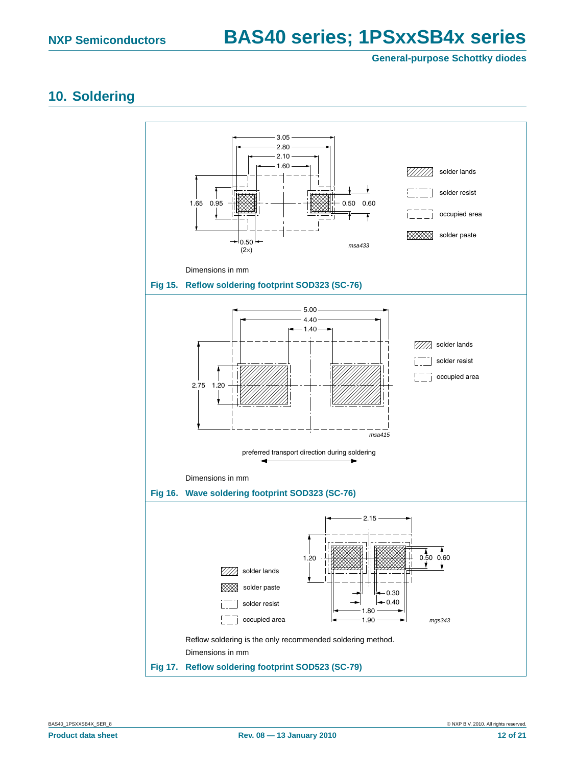### <span id="page-11-2"></span>**10. Soldering**

<span id="page-11-1"></span><span id="page-11-0"></span>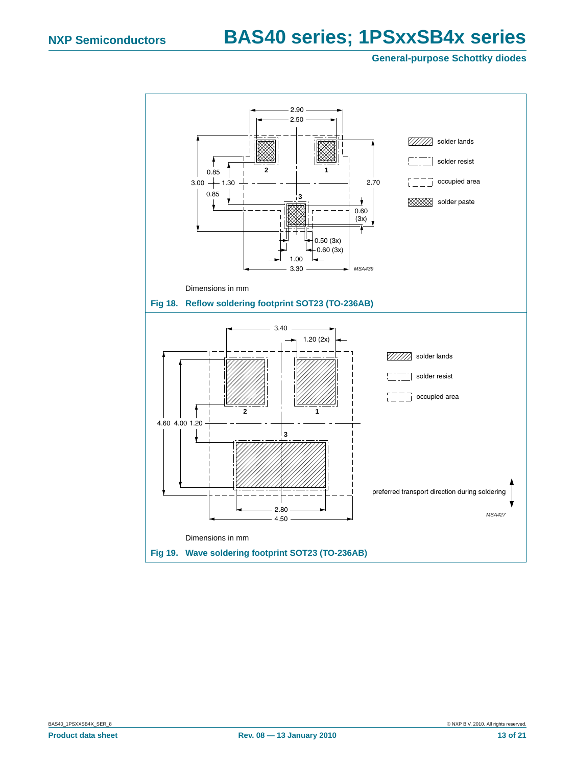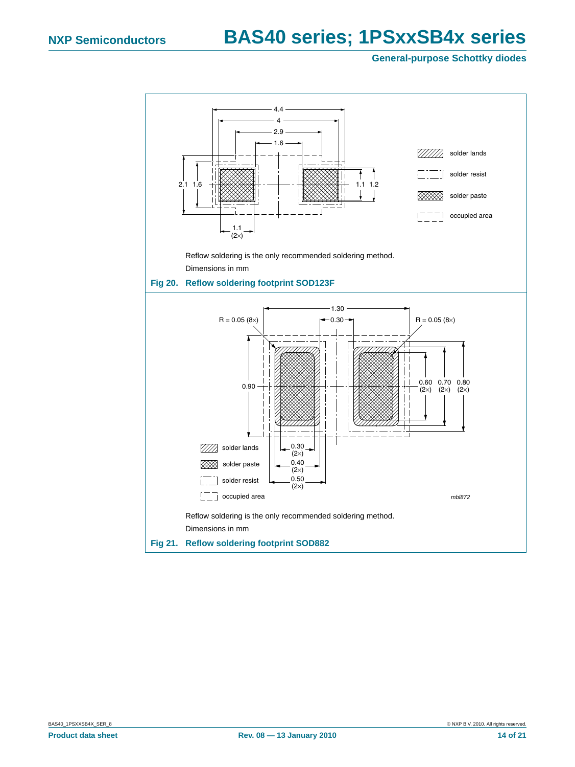<span id="page-13-0"></span>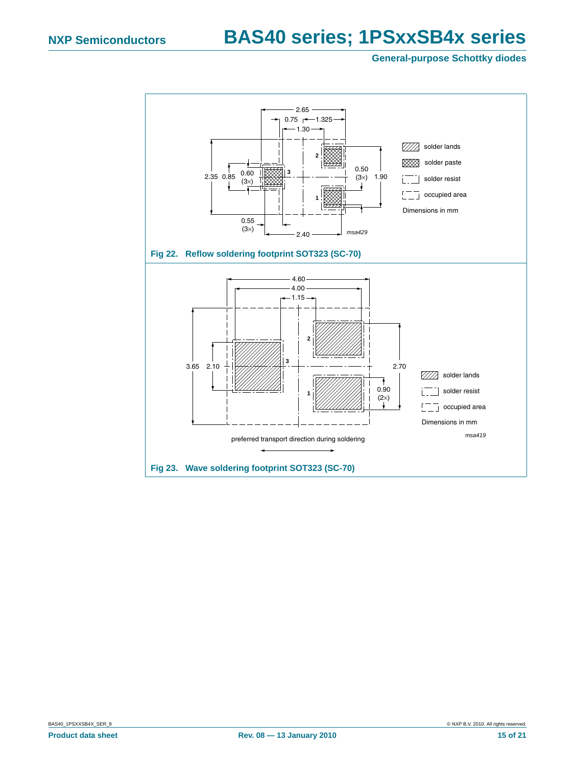<span id="page-14-1"></span><span id="page-14-0"></span>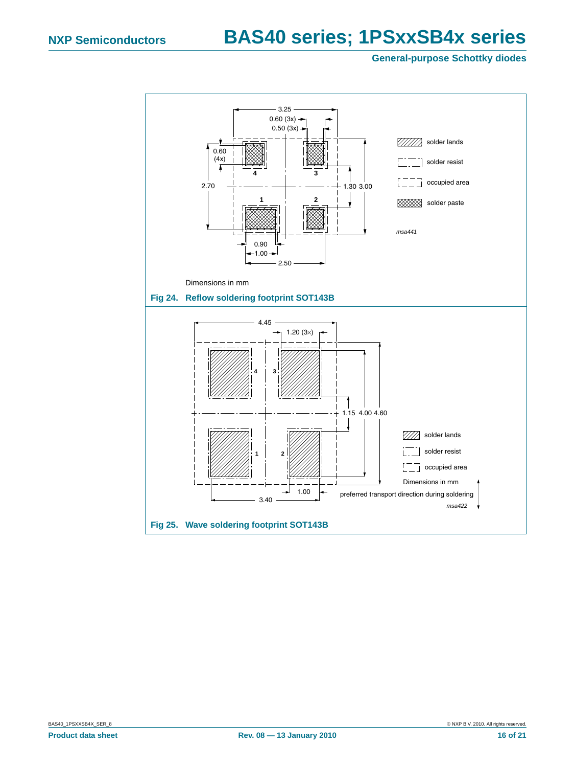<span id="page-15-0"></span>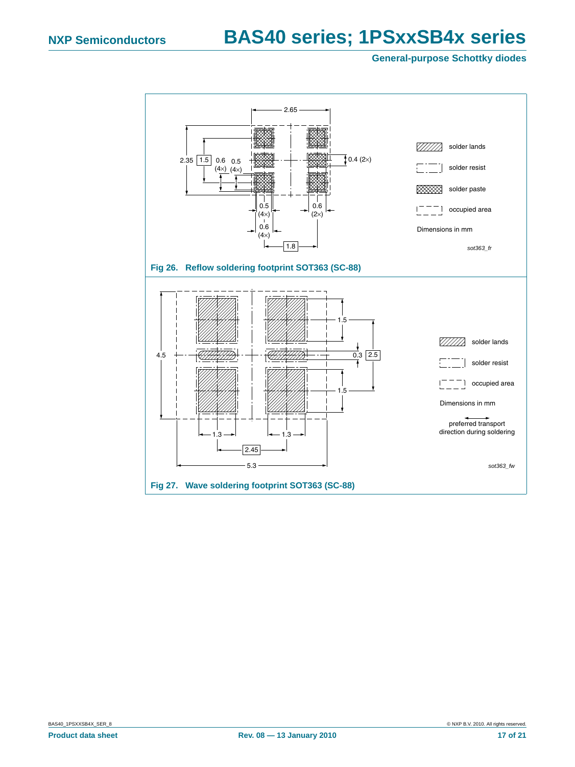<span id="page-16-1"></span><span id="page-16-0"></span>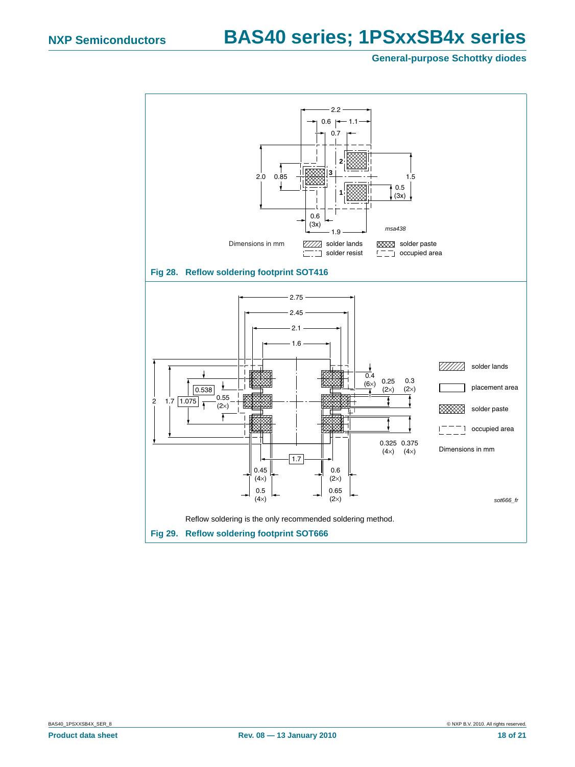<span id="page-17-1"></span><span id="page-17-0"></span>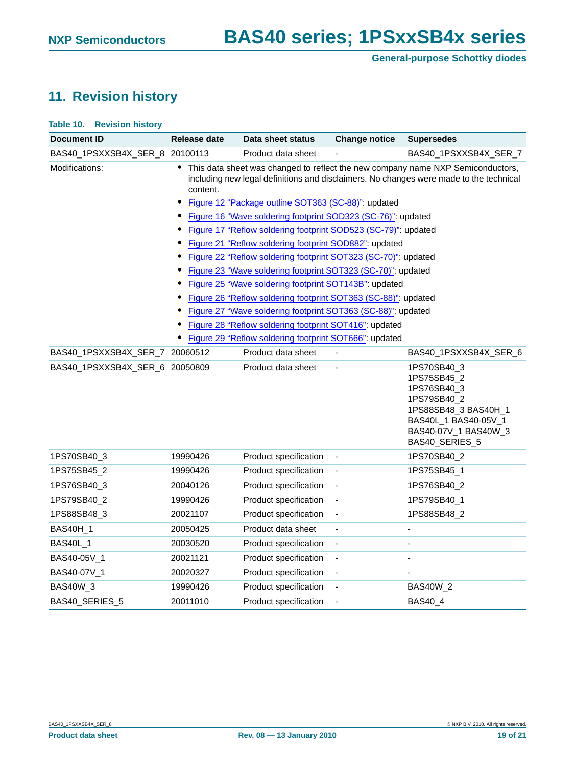# <span id="page-18-0"></span>**11. Revision history**

| Table 10.<br><b>Revision history</b> |              |                                                                                                                     |                              |                                                                                                                                                                           |
|--------------------------------------|--------------|---------------------------------------------------------------------------------------------------------------------|------------------------------|---------------------------------------------------------------------------------------------------------------------------------------------------------------------------|
| <b>Document ID</b>                   | Release date | Data sheet status                                                                                                   | <b>Change notice</b>         | <b>Supersedes</b>                                                                                                                                                         |
| BAS40_1PSXXSB4X_SER_8 20100113       |              | Product data sheet                                                                                                  |                              | BAS40 1PSXXSB4X SER 7                                                                                                                                                     |
| Modifications:                       | content.     |                                                                                                                     |                              | This data sheet was changed to reflect the new company name NXP Semiconductors,<br>including new legal definitions and disclaimers. No changes were made to the technical |
|                                      | $\bullet$    | Figure 12 "Package outline SOT363 (SC-88)": updated<br>Figure 16 "Wave soldering footprint SOD323 (SC-76)": updated |                              |                                                                                                                                                                           |
|                                      | ٠            | Figure 17 "Reflow soldering footprint SOD523 (SC-79)": updated                                                      |                              |                                                                                                                                                                           |
|                                      | ٠            | Figure 21 "Reflow soldering footprint SOD882": updated                                                              |                              |                                                                                                                                                                           |
|                                      | ٠            | Figure 22 "Reflow soldering footprint SOT323 (SC-70)": updated                                                      |                              |                                                                                                                                                                           |
|                                      |              | Figure 23 "Wave soldering footprint SOT323 (SC-70)": updated                                                        |                              |                                                                                                                                                                           |
|                                      | $\bullet$    | Figure 25 "Wave soldering footprint SOT143B": updated                                                               |                              |                                                                                                                                                                           |
|                                      | $\bullet$    | Figure 26 "Reflow soldering footprint SOT363 (SC-88)": updated                                                      |                              |                                                                                                                                                                           |
|                                      | $\bullet$    | Figure 27 "Wave soldering footprint SOT363 (SC-88)": updated                                                        |                              |                                                                                                                                                                           |
|                                      |              | Figure 28 "Reflow soldering footprint SOT416": updated                                                              |                              |                                                                                                                                                                           |
|                                      |              | Figure 29 "Reflow soldering footprint SOT666": updated                                                              |                              |                                                                                                                                                                           |
| BAS40_1PSXXSB4X_SER_7_20060512       |              | Product data sheet                                                                                                  |                              | BAS40_1PSXXSB4X_SER_6                                                                                                                                                     |
| BAS40_1PSXXSB4X_SER_6 20050809       |              | Product data sheet                                                                                                  |                              | 1PS70SB40_3<br>1PS75SB45 2<br>1PS76SB40 3<br>1PS79SB40_2<br>1PS88SB48_3 BAS40H_1<br>BAS40L 1 BAS40-05V 1<br>BAS40-07V_1 BAS40W_3<br>BAS40_SERIES_5                        |
| 1PS70SB40_3                          | 19990426     | Product specification                                                                                               | $\qquad \qquad \blacksquare$ | 1PS70SB40_2                                                                                                                                                               |
| 1PS75SB45_2                          | 19990426     | Product specification                                                                                               | $\overline{\phantom{0}}$     | 1PS75SB45_1                                                                                                                                                               |
| 1PS76SB40 3                          | 20040126     | Product specification                                                                                               |                              | 1PS76SB40 2                                                                                                                                                               |
| 1PS79SB40 2                          | 19990426     | Product specification                                                                                               | $\overline{\phantom{0}}$     | 1PS79SB40 1                                                                                                                                                               |
| 1PS88SB48_3                          | 20021107     | Product specification                                                                                               | ÷,                           | 1PS88SB48_2                                                                                                                                                               |
| <b>BAS40H_1</b>                      | 20050425     | Product data sheet                                                                                                  | ÷,                           | $\blacksquare$                                                                                                                                                            |
| <b>BAS40L 1</b>                      | 20030520     | Product specification                                                                                               |                              |                                                                                                                                                                           |
| BAS40-05V_1                          | 20021121     | Product specification                                                                                               | $\frac{1}{2}$                | $\overline{a}$                                                                                                                                                            |
| BAS40-07V_1                          | 20020327     | Product specification                                                                                               | $\blacksquare$               |                                                                                                                                                                           |
| <b>BAS40W_3</b>                      | 19990426     | Product specification                                                                                               | ÷,                           | <b>BAS40W_2</b>                                                                                                                                                           |
| BAS40 SERIES 5                       | 20011010     | Product specification                                                                                               |                              | BAS40_4                                                                                                                                                                   |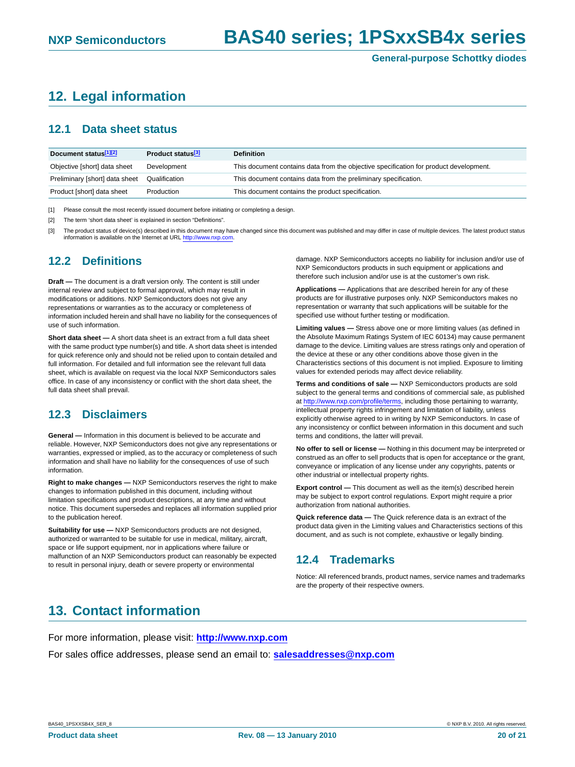# <span id="page-19-1"></span>**12. Legal information**

#### <span id="page-19-2"></span>**12.1 Data sheet status**

| Document status <sup>[1][2]</sup> | Product status <sup>[3]</sup> | <b>Definition</b>                                                                     |
|-----------------------------------|-------------------------------|---------------------------------------------------------------------------------------|
| Objective [short] data sheet      | Development                   | This document contains data from the objective specification for product development. |
| Preliminary [short] data sheet    | Qualification                 | This document contains data from the preliminary specification.                       |
| Product [short] data sheet        | Production                    | This document contains the product specification.                                     |

[1] Please consult the most recently issued document before initiating or completing a design.

[2] The term 'short data sheet' is explained in section "Definitions".

[3] The product status of device(s) described in this document may have changed since this document was published and may differ in case of multiple devices. The latest product status information is available on the Internet at URL http://www.nxp.com.

### <span id="page-19-3"></span>**12.2 Definitions**

**Draft —** The document is a draft version only. The content is still under internal review and subject to formal approval, which may result in modifications or additions. NXP Semiconductors does not give any representations or warranties as to the accuracy or completeness of information included herein and shall have no liability for the consequences of use of such information.

**Short data sheet —** A short data sheet is an extract from a full data sheet with the same product type number(s) and title. A short data sheet is intended for quick reference only and should not be relied upon to contain detailed and full information. For detailed and full information see the relevant full data sheet, which is available on request via the local NXP Semiconductors sales office. In case of any inconsistency or conflict with the short data sheet, the full data sheet shall prevail.

### <span id="page-19-4"></span>**12.3 Disclaimers**

**General —** Information in this document is believed to be accurate and reliable. However, NXP Semiconductors does not give any representations or warranties, expressed or implied, as to the accuracy or completeness of such information and shall have no liability for the consequences of use of such information.

**Right to make changes —** NXP Semiconductors reserves the right to make changes to information published in this document, including without limitation specifications and product descriptions, at any time and without notice. This document supersedes and replaces all information supplied prior to the publication hereof.

**Suitability for use —** NXP Semiconductors products are not designed, authorized or warranted to be suitable for use in medical, military, aircraft, space or life support equipment, nor in applications where failure or malfunction of an NXP Semiconductors product can reasonably be expected to result in personal injury, death or severe property or environmental

damage. NXP Semiconductors accepts no liability for inclusion and/or use of NXP Semiconductors products in such equipment or applications and therefore such inclusion and/or use is at the customer's own risk.

**Applications —** Applications that are described herein for any of these products are for illustrative purposes only. NXP Semiconductors makes no representation or warranty that such applications will be suitable for the specified use without further testing or modification.

**Limiting values —** Stress above one or more limiting values (as defined in the Absolute Maximum Ratings System of IEC 60134) may cause permanent damage to the device. Limiting values are stress ratings only and operation of the device at these or any other conditions above those given in the Characteristics sections of this document is not implied. Exposure to limiting values for extended periods may affect device reliability.

**Terms and conditions of sale —** NXP Semiconductors products are sold subject to the general terms and conditions of commercial sale, as published at http://www.nxp.com/profile/terms, including those pertaining to warranty, intellectual property rights infringement and limitation of liability, unless explicitly otherwise agreed to in writing by NXP Semiconductors. In case of any inconsistency or conflict between information in this document and such terms and conditions, the latter will prevail.

**No offer to sell or license —** Nothing in this document may be interpreted or construed as an offer to sell products that is open for acceptance or the grant, conveyance or implication of any license under any copyrights, patents or other industrial or intellectual property rights.

**Export control —** This document as well as the item(s) described herein may be subject to export control regulations. Export might require a prior authorization from national authorities.

**Quick reference data —** The Quick reference data is an extract of the product data given in the Limiting values and Characteristics sections of this document, and as such is not complete, exhaustive or legally binding.

### <span id="page-19-5"></span>**12.4 Trademarks**

Notice: All referenced brands, product names, service names and trademarks are the property of their respective owners.

# <span id="page-19-0"></span>**13. Contact information**

For more information, please visit: **http://www.nxp.com** For sales office addresses, please send an email to: **salesaddresses@nxp.com**